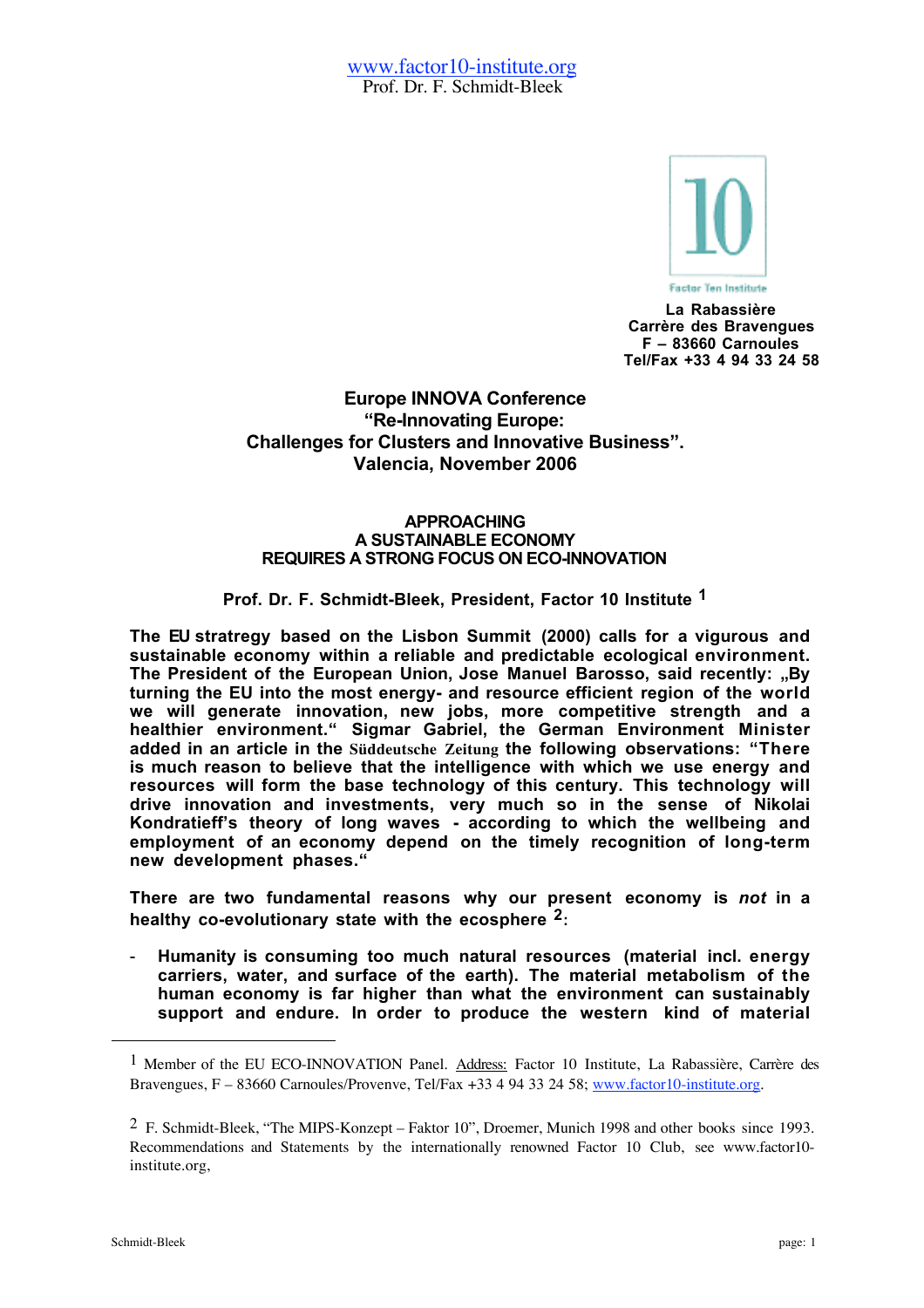

**La Rabassière Carrère des Bravengues F – 83660 Carnoules Tel/Fax +33 4 94 33 24 58**

## **Europe INNOVA Conference "Re-Innovating Europe: Challenges for Clusters and Innovative Business". Valencia, November 2006**

## **APPROACHING A SUSTAINABLE ECONOMY REQUIRES A STRONG FOCUS ON ECO-INNOVATION**

## **Prof. Dr. F. Schmidt-Bleek, President, Factor 10 Institute 1**

**The EU stratregy based on the Lisbon Summit (2000) calls for a vigurous and sustainable economy within a reliable and predictable ecological environment.** The President of the European Union, Jose Manuel Barosso, said recently: "By **turning the EU into the most energy- and resource efficient region of the world we will generate innovation, new jobs, more competitive strength and a healthier environment." Sigmar Gabriel, the German Environment Minister added in an article in the Süddeutsche Zeitung the following observations: "There is much reason to believe that the intelligence with which we use energy and resources will form the base technology of this century. This technology will drive innovation and investments, very much so in the sense of Nikolai Kondratieff's theory of long waves - according to which the wellbeing and employment of an economy depend on the timely recognition of long-term new development phases."**

**There are two fundamental reasons why our present economy is** *not* **in a healthy co-evolutionary state with the ecosphere 2:**

- **Humanity is consuming too much natural resources (material incl. energy carriers, water, and surface of the earth). The material metabolism of the human economy is far higher than what the environment can sustainably support and endure. In order to produce the western kind of material**

 $\overline{a}$ 

<sup>1</sup> Member of the EU ECO-INNOVATION Panel. Address: Factor 10 Institute, La Rabassière, Carrère des Bravengues, F – 83660 Carnoules/Provenve, Tel/Fax +33 4 94 33 24 58; www.factor10-institute.org.

<sup>2</sup> F. Schmidt-Bleek, "The MIPS-Konzept – Faktor 10", Droemer, Munich 1998 and other books since 1993. Recommendations and Statements by the internationally renowned Factor 10 Club, see www.factor10 institute.org,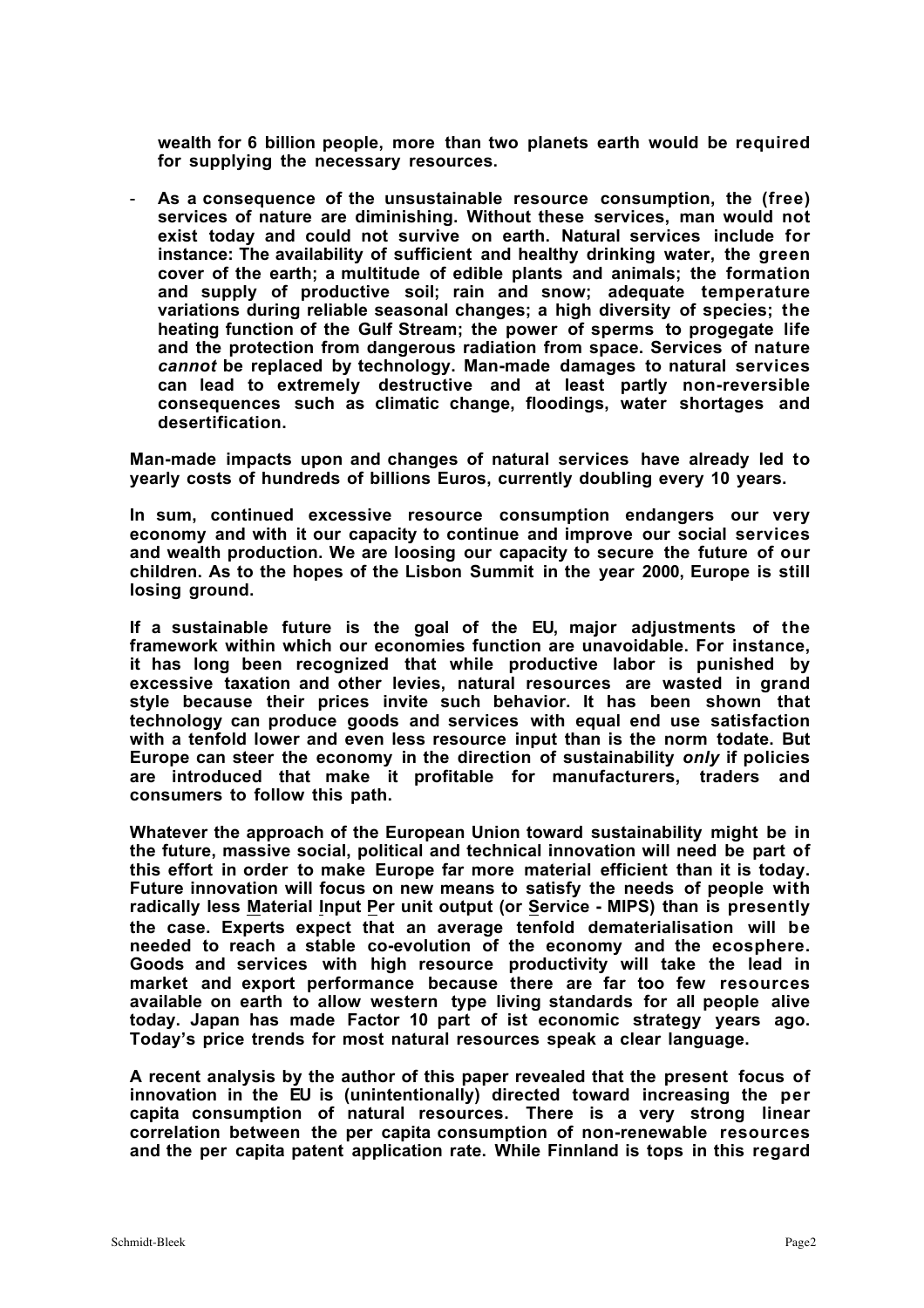**wealth for 6 billion people, more than two planets earth would be required for supplying the necessary resources.**

- **As a consequence of the unsustainable resource consumption, the (free) services of nature are diminishing. Without these services, man would not exist today and could not survive on earth. Natural services include for instance: The availability of sufficient and healthy drinking water, the green cover of the earth; a multitude of edible plants and animals; the formation and supply of productive soil; rain and snow; adequate temperature variations during reliable seasonal changes; a high diversity of species; the heating function of the Gulf Stream; the power of sperms to progegate life and the protection from dangerous radiation from space. Services of nature** *cannot* **be replaced by technology. Man-made damages to natural services can lead to extremely destructive and at least partly non-reversible consequences such as climatic change, floodings, water shortages and desertification.**

**Man-made impacts upon and changes of natural services have already led to yearly costs of hundreds of billions Euros, currently doubling every 10 years.**

**In sum, continued excessive resource consumption endangers our very economy and with it our capacity to continue and improve our social services and wealth production. We are loosing our capacity to secure the future of our children. As to the hopes of the Lisbon Summit in the year 2000, Europe is still losing ground.**

**If a sustainable future is the goal of the EU, major adjustments of the framework within which our economies function are unavoidable. For instance, it has long been recognized that while productive labor is punished by excessive taxation and other levies, natural resources are wasted in grand style because their prices invite such behavior. It has been shown that technology can produce goods and services with equal end use satisfaction with a tenfold lower and even less resource input than is the norm todate. But Europe can steer the economy in the direction of sustainability** *only* **if policies are introduced that make it profitable for manufacturers, traders and consumers to follow this path.**

**Whatever the approach of the European Union toward sustainability might be in the future, massive social, political and technical innovation will need be part of this effort in order to make Europe far more material efficient than it is today. Future innovation will focus on new means to satisfy the needs of people with radically less Material Input Per unit output (or Service - MIPS) than is presently the case. Experts expect that an average tenfold dematerialisation will be needed to reach a stable co-evolution of the economy and the ecosphere. Goods and services with high resource productivity will take the lead in market and export performance because there are far too few resources available on earth to allow western type living standards for all people alive today. Japan has made Factor 10 part of ist economic strategy years ago. Today's price trends for most natural resources speak a clear language.**

**A recent analysis by the author of this paper revealed that the present focus of innovation in the EU is (unintentionally) directed toward increasing the per capita consumption of natural resources. There is a very strong linear correlation between the per capita consumption of non-renewable resources and the per capita patent application rate. While Finnland is tops in this regard**